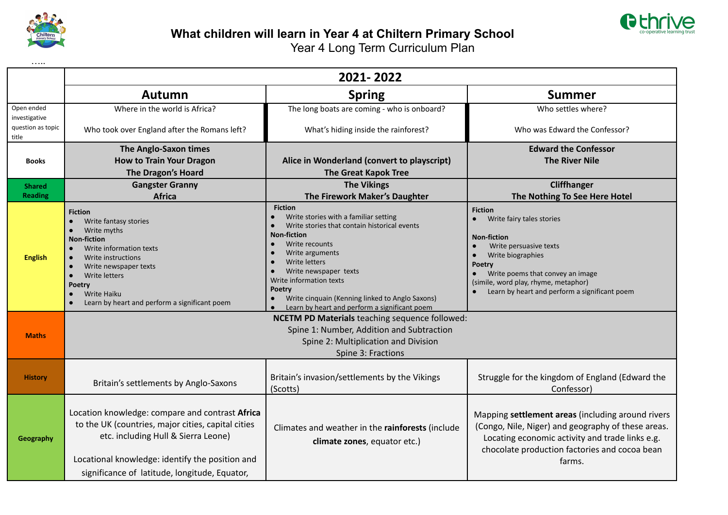



| .                           |                                                                                                                                                                                                                                                                                                              |                                                                                                                                                                                                                                                                                                                                                                                        |                                                                                                                                                                                                                                                                      |  |  |  |  |
|-----------------------------|--------------------------------------------------------------------------------------------------------------------------------------------------------------------------------------------------------------------------------------------------------------------------------------------------------------|----------------------------------------------------------------------------------------------------------------------------------------------------------------------------------------------------------------------------------------------------------------------------------------------------------------------------------------------------------------------------------------|----------------------------------------------------------------------------------------------------------------------------------------------------------------------------------------------------------------------------------------------------------------------|--|--|--|--|
|                             | 2021-2022                                                                                                                                                                                                                                                                                                    |                                                                                                                                                                                                                                                                                                                                                                                        |                                                                                                                                                                                                                                                                      |  |  |  |  |
|                             | <b>Autumn</b>                                                                                                                                                                                                                                                                                                | <b>Spring</b>                                                                                                                                                                                                                                                                                                                                                                          | <b>Summer</b>                                                                                                                                                                                                                                                        |  |  |  |  |
| Open ended<br>investigative | Where in the world is Africa?                                                                                                                                                                                                                                                                                | The long boats are coming - who is onboard?                                                                                                                                                                                                                                                                                                                                            | Who settles where?                                                                                                                                                                                                                                                   |  |  |  |  |
| question as topic<br>title  | Who took over England after the Romans left?                                                                                                                                                                                                                                                                 | What's hiding inside the rainforest?                                                                                                                                                                                                                                                                                                                                                   | Who was Edward the Confessor?                                                                                                                                                                                                                                        |  |  |  |  |
|                             | The Anglo-Saxon times                                                                                                                                                                                                                                                                                        |                                                                                                                                                                                                                                                                                                                                                                                        | <b>Edward the Confessor</b>                                                                                                                                                                                                                                          |  |  |  |  |
| <b>Books</b>                | <b>How to Train Your Dragon</b><br>The Dragon's Hoard                                                                                                                                                                                                                                                        | Alice in Wonderland (convert to playscript)<br><b>The Great Kapok Tree</b>                                                                                                                                                                                                                                                                                                             | <b>The River Nile</b>                                                                                                                                                                                                                                                |  |  |  |  |
| <b>Shared</b>               | <b>Gangster Granny</b>                                                                                                                                                                                                                                                                                       | <b>The Vikings</b>                                                                                                                                                                                                                                                                                                                                                                     | <b>Cliffhanger</b>                                                                                                                                                                                                                                                   |  |  |  |  |
| <b>Reading</b>              | <b>Africa</b>                                                                                                                                                                                                                                                                                                | The Firework Maker's Daughter                                                                                                                                                                                                                                                                                                                                                          | The Nothing To See Here Hotel                                                                                                                                                                                                                                        |  |  |  |  |
| <b>English</b>              | <b>Fiction</b><br>Write fantasy stories<br>Write myths<br>$\bullet$<br><b>Non-fiction</b><br>Write information texts<br>Write instructions<br>$\bullet$<br>Write newspaper texts<br>$\bullet$<br>Write letters<br>$\bullet$<br>Poetry<br><b>Write Haiku</b><br>Learn by heart and perform a significant poem | <b>Fiction</b><br>Write stories with a familiar setting<br>$\bullet$<br>Write stories that contain historical events<br><b>Non-fiction</b><br>Write recounts<br>Write arguments<br><b>Write letters</b><br>$\bullet$<br>Write newspaper texts<br>Write information texts<br>Poetry<br>Write cinquain (Kenning linked to Anglo Saxons)<br>Learn by heart and perform a significant poem | <b>Fiction</b><br>Write fairy tales stories<br><b>Non-fiction</b><br>Write persuasive texts<br>$\bullet$<br>Write biographies<br>Poetry<br>Write poems that convey an image<br>(simile, word play, rhyme, metaphor)<br>Learn by heart and perform a significant poem |  |  |  |  |
| <b>Maths</b>                | <b>NCETM PD Materials teaching sequence followed:</b><br>Spine 1: Number, Addition and Subtraction<br>Spine 2: Multiplication and Division<br>Spine 3: Fractions                                                                                                                                             |                                                                                                                                                                                                                                                                                                                                                                                        |                                                                                                                                                                                                                                                                      |  |  |  |  |
| <b>History</b>              | Britain's settlements by Anglo-Saxons                                                                                                                                                                                                                                                                        | Britain's invasion/settlements by the Vikings<br>(Scotts)                                                                                                                                                                                                                                                                                                                              | Struggle for the kingdom of England (Edward the<br>Confessor)                                                                                                                                                                                                        |  |  |  |  |
| Geography                   | Location knowledge: compare and contrast Africa<br>to the UK (countries, major cities, capital cities<br>etc. including Hull & Sierra Leone)<br>Locational knowledge: identify the position and<br>significance of latitude, longitude, Equator,                                                             | Climates and weather in the rainforests (include<br>climate zones, equator etc.)                                                                                                                                                                                                                                                                                                       | Mapping settlement areas (including around rivers<br>(Congo, Nile, Niger) and geography of these areas.<br>Locating economic activity and trade links e.g.<br>chocolate production factories and cocoa bean<br>farms.                                                |  |  |  |  |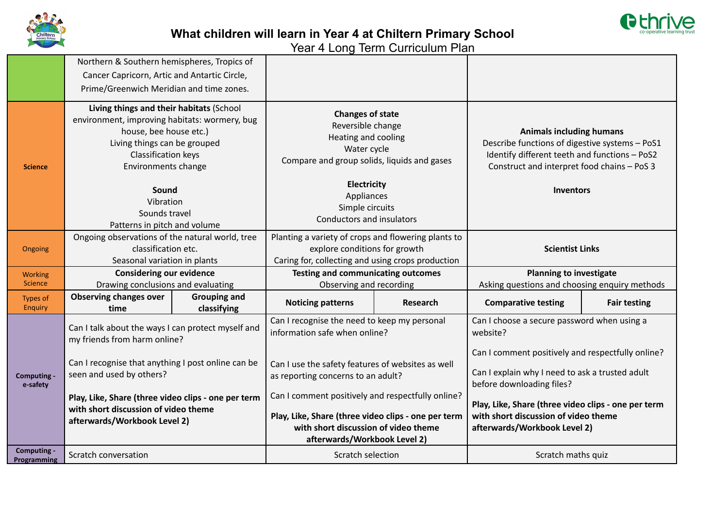

## **What children will learn in Year 4 at Chiltern Primary School**

Year 4 Long Term Curriculum Plan

|                            | Northern & Southern hemispheres, Tropics of                                                                                                                                                       |                                                                              |                                                                                                                                                                                  |                                |                                                                                                                                                                                   |                     |
|----------------------------|---------------------------------------------------------------------------------------------------------------------------------------------------------------------------------------------------|------------------------------------------------------------------------------|----------------------------------------------------------------------------------------------------------------------------------------------------------------------------------|--------------------------------|-----------------------------------------------------------------------------------------------------------------------------------------------------------------------------------|---------------------|
|                            | Cancer Capricorn, Artic and Antartic Circle,                                                                                                                                                      |                                                                              |                                                                                                                                                                                  |                                |                                                                                                                                                                                   |                     |
|                            | Prime/Greenwich Meridian and time zones.                                                                                                                                                          |                                                                              |                                                                                                                                                                                  |                                |                                                                                                                                                                                   |                     |
| <b>Science</b>             | Living things and their habitats (School<br>environment, improving habitats: wormery, bug<br>house, bee house etc.)<br>Living things can be grouped<br>Classification keys<br>Environments change |                                                                              | <b>Changes of state</b><br>Reversible change<br>Heating and cooling<br>Water cycle<br>Compare and group solids, liquids and gases                                                |                                | <b>Animals including humans</b><br>Describe functions of digestive systems - PoS1<br>Identify different teeth and functions - PoS2<br>Construct and interpret food chains - PoS 3 |                     |
|                            | Sound<br>Vibration<br>Sounds travel<br>Patterns in pitch and volume                                                                                                                               |                                                                              | Electricity<br>Appliances<br>Simple circuits<br>Conductors and insulators                                                                                                        |                                | <b>Inventors</b>                                                                                                                                                                  |                     |
| Ongoing                    | Ongoing observations of the natural world, tree<br>classification etc.<br>Seasonal variation in plants                                                                                            |                                                                              | Planting a variety of crops and flowering plants to<br>explore conditions for growth<br>Caring for, collecting and using crops production                                        |                                | <b>Scientist Links</b>                                                                                                                                                            |                     |
| <b>Working</b>             |                                                                                                                                                                                                   | <b>Testing and communicating outcomes</b><br><b>Considering our evidence</b> |                                                                                                                                                                                  | <b>Planning to investigate</b> |                                                                                                                                                                                   |                     |
| <b>Science</b>             | Drawing conclusions and evaluating                                                                                                                                                                |                                                                              | Observing and recording                                                                                                                                                          |                                | Asking questions and choosing enquiry methods                                                                                                                                     |                     |
| Types of<br>Enquiry        | <b>Observing changes over</b><br>time                                                                                                                                                             | <b>Grouping and</b><br>classifying                                           | <b>Noticing patterns</b>                                                                                                                                                         | <b>Research</b>                | <b>Comparative testing</b>                                                                                                                                                        | <b>Fair testing</b> |
| Computing -<br>e-safety    | Can I talk about the ways I can protect myself and<br>my friends from harm online?                                                                                                                |                                                                              | Can I recognise the need to keep my personal<br>information safe when online?                                                                                                    |                                | Can I choose a secure password when using a<br>website?                                                                                                                           |                     |
|                            | Can I recognise that anything I post online can be<br>seen and used by others?                                                                                                                    |                                                                              | Can I use the safety features of websites as well<br>as reporting concerns to an adult?                                                                                          |                                | Can I comment positively and respectfully online?<br>Can I explain why I need to ask a trusted adult<br>before downloading files?                                                 |                     |
|                            | Play, Like, Share (three video clips - one per term<br>with short discussion of video theme<br>afterwards/Workbook Level 2)                                                                       |                                                                              | Can I comment positively and respectfully online?<br>Play, Like, Share (three video clips - one per term<br>with short discussion of video theme<br>afterwards/Workbook Level 2) |                                | Play, Like, Share (three video clips - one per term<br>with short discussion of video theme<br>afterwards/Workbook Level 2)                                                       |                     |
| Computing -<br>Programming | Scratch conversation                                                                                                                                                                              |                                                                              | Scratch selection                                                                                                                                                                |                                | Scratch maths quiz                                                                                                                                                                |                     |